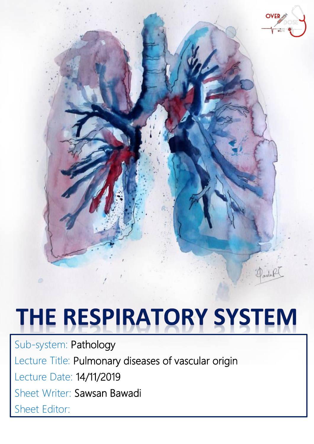

# **THE RESPIRATORY SYSTEM**

Sub-system: Pathology Lecture Title: Pulmonary diseases of vascular origin Lecture Date: 14/11/2019 Sheet Writer: Sawsan Bawadi Sheet Editor: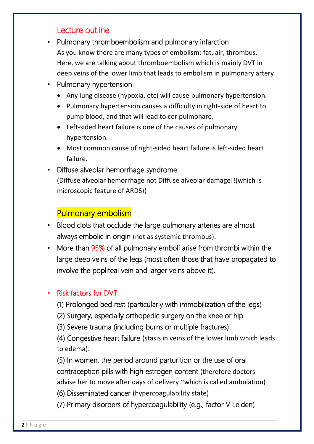#### Lecture outline

- Pulmonary thromboembolism and pulmonary infarction As you know there are many types of embolism: fat, air, thrombus. Here, we are talking about thromboembolism which is mainly DVT in deep veins of the lower limb that leads to embolism in pulmonary artery
- Pulmonary hypertension
	- Any lung disease (hypoxia, etc) will cause pulmonary hypertension.
	- Pulmonary hypertension causes a difficulty in right-side of heart to pump blood, and that will lead to cor pulmonare.
	- Left-sided heart failure is one of the causes of pulmonary hypertension.
	- Most common cause of right-sided heart failure is left-sided heart failure.
- Diffuse alveolar hemorrhage syndrome (Diffuse alveolar hemorrhage not Diffuse alveolar damage!!(which is microscopic feature of ARDS))

## Pulmonary embolism

- Blood clots that occlude the large pulmonary arteries are almost always embolic in origin (not as systemic thrombus).
- More than 95% of all pulmonary emboli arise from thrombi within the large deep veins of the legs (most often those that have propagated to involve the popliteal vein and larger veins above it).

#### • Risk factors for DVT:

- (1) Prolonged bed rest (particularly with immobilization of the legs)
- (2) Surgery, especially orthopedic surgery on the knee or hip
- (3) Severe trauma (including burns or multiple fractures)

(4) Congestive heart failure (stasis in veins of the lower limb which leads to edema).

(5) In women, the period around parturition or the use of oral contraception pills with high estrogen content (therefore doctors advise her to move after days of delivery ~which is called ambulation)

- (6) Disseminated cancer (hypercoagulability state)
- (7) Primary disorders of hypercoagulability (e.g., factor V Leiden)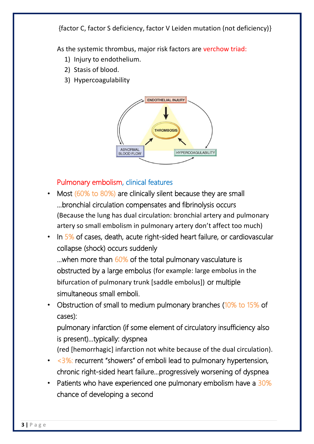{factor C, factor S deficiency, factor V Leiden mutation (not deficiency)}

As the systemic thrombus, major risk factors are verchow triad:

- 1) Injury to endothelium.
- 2) Stasis of blood.
- 3) Hypercoagulability



#### Pulmonary embolism, clinical features

- Most (60% to 80%) are clinically silent because they are small …bronchial circulation compensates and fibrinolysis occurs (Because the lung has dual circulation: bronchial artery and pulmonary artery so small embolism in pulmonary artery don't affect too much)
- In 5% of cases, death, acute right-sided heart failure, or cardiovascular collapse (shock) occurs suddenly

... when more than 60% of the total pulmonary vasculature is obstructed by a large embolus (for example: large embolus in the bifurcation of pulmonary trunk [saddle embolus]) or multiple simultaneous small emboli.

• Obstruction of small to medium pulmonary branches (10% to 15% of cases):

pulmonary infarction (if some element of circulatory insufficiency also is present)…typically: dyspnea

(red [hemorrhagic] infarction not white because of the dual circulation).

- $\cdot$  <3%: recurrent "showers" of emboli lead to pulmonary hypertension, chronic right-sided heart failure…progressively worsening of dyspnea
- Patients who have experienced one pulmonary embolism have a 30% chance of developing a second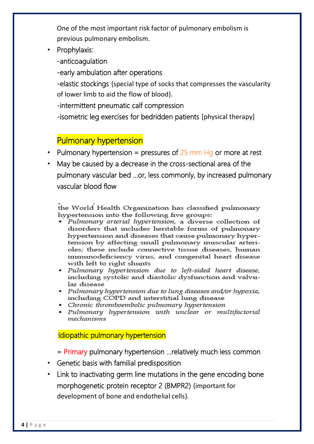One of the most important risk factor of pulmonary embolism is previous pulmonary embolism.

• Prophylaxis:

-anticoagulation

-early ambulation after operations

-elastic stockings {special type of socks that compresses the vascularity of lower limb to aid the flow of blood}.

-intermittent pneumatic calf compression

-isometric leg exercises for bedridden patients [physical therapy]

# Pulmonary hypertension

- Pulmonary hypertension = pressures of  $25$  mm Hg or more at rest
- May be caused by a decrease in the cross-sectional area of the pulmonary vascular bed …or, less commonly, by increased pulmonary vascular blood flow

the World Health Organization has classified pulmonary hypertension into the following five groups:

- · Pulmonary arterial hypertension, a diverse collection of disorders that includes heritable forms of pulmonary hypertension and diseases that cause pulmonary hypertension by affecting small pulmonary muscular arterioles; these include connective tissue diseases, human immunodeficiency virus, and congenital heart disease with left to right shunts
- Pulmonary hypertension due to left-sided heart disease, including systolic and diastolic dysfunction and valvular disease
- Pulmonary hypertension due to lung diseases and/or hypoxia, including COPD and interstitial lung disease
- Chronic thromboembolic pulmonary hypertension
- Pulmonary hypertension with unclear or multifactorial mechanisms

Idiopathic pulmonary hypertension

= Primary pulmonary hypertension …relatively much less common

- Genetic basis with familial predisposition
- Link to inactivating germ line mutations in the gene encoding bone morphogenetic protein receptor 2 (BMPR2) {important for development of bone and endothelial cells}.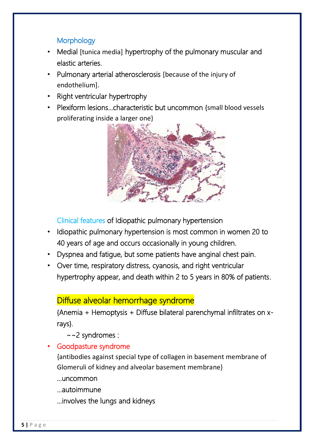#### **Morphology**

- Medial [tunica media] hypertrophy of the pulmonary muscular and elastic arteries.
- Pulmonary arterial atherosclerosis [because of the injury of endothelium].
- Right ventricular hypertrophy
- Plexiform lesions…characteristic but uncommon {small blood vessels proliferating inside a larger one}



Clinical features of Idiopathic pulmonary hypertension

- Idiopathic pulmonary hypertension is most common in women 20 to 40 years of age and occurs occasionally in young children.
- Dyspnea and fatigue, but some patients have anginal chest pain.
- Over time, respiratory distress, cyanosis, and right ventricular hypertrophy appear, and death within 2 to 5 years in 80% of patients.

## Diffuse alveolar hemorrhage syndrome

{Anemia + Hemoptysis + Diffuse bilateral parenchymal infiltrates on xrays}.

~~2 syndromes :

• Goodpasture syndrome

{antibodies against special type of collagen in basement membrane of Glomeruli of kidney and alveolar basement membrane}

…uncommon

…autoimmune

…involves the lungs and kidneys